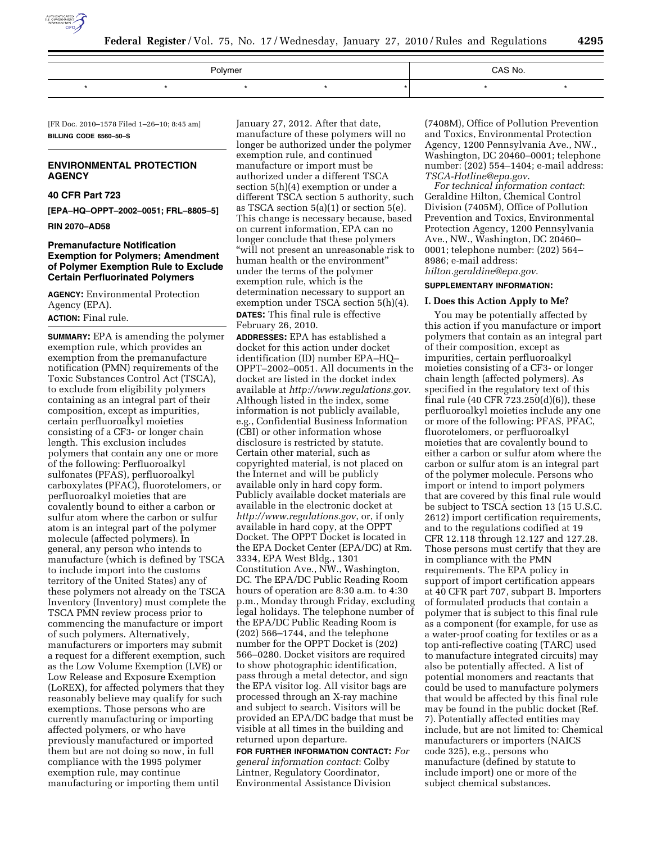

| Polymer |  |  |  | CAS No. |  |
|---------|--|--|--|---------|--|
|         |  |  |  |         |  |

[FR Doc. 2010–1578 Filed 1–26–10; 8:45 am] **BILLING CODE 6560–50–S** 

# **ENVIRONMENTAL PROTECTION AGENCY**

### **40 CFR Part 723**

**[EPA–HQ–OPPT–2002–0051; FRL–8805–5]** 

**RIN 2070–AD58** 

# **Premanufacture Notification Exemption for Polymers; Amendment of Polymer Exemption Rule to Exclude Certain Perfluorinated Polymers**

**AGENCY:** Environmental Protection Agency (EPA).

# **ACTION:** Final rule.

**SUMMARY:** EPA is amending the polymer exemption rule, which provides an exemption from the premanufacture notification (PMN) requirements of the Toxic Substances Control Act (TSCA), to exclude from eligibility polymers containing as an integral part of their composition, except as impurities, certain perfluoroalkyl moieties consisting of a CF3- or longer chain length. This exclusion includes polymers that contain any one or more of the following: Perfluoroalkyl sulfonates (PFAS), perfluoroalkyl carboxylates (PFAC), fluorotelomers, or perfluoroalkyl moieties that are covalently bound to either a carbon or sulfur atom where the carbon or sulfur atom is an integral part of the polymer molecule (affected polymers). In general, any person who intends to manufacture (which is defined by TSCA to include import into the customs territory of the United States) any of these polymers not already on the TSCA Inventory (Inventory) must complete the TSCA PMN review process prior to commencing the manufacture or import of such polymers. Alternatively, manufacturers or importers may submit a request for a different exemption, such as the Low Volume Exemption (LVE) or Low Release and Exposure Exemption (LoREX), for affected polymers that they reasonably believe may qualify for such exemptions. Those persons who are currently manufacturing or importing affected polymers, or who have previously manufactured or imported them but are not doing so now, in full compliance with the 1995 polymer exemption rule, may continue manufacturing or importing them until

January 27, 2012. After that date, manufacture of these polymers will no longer be authorized under the polymer exemption rule, and continued manufacture or import must be authorized under a different TSCA section 5(h)(4) exemption or under a different TSCA section 5 authority, such as TSCA section 5(a)(1) or section 5(e). This change is necessary because, based on current information, EPA can no longer conclude that these polymers ''will not present an unreasonable risk to human health or the environment'' under the terms of the polymer exemption rule, which is the determination necessary to support an exemption under TSCA section 5(h)(4). **DATES:** This final rule is effective February 26, 2010.

**ADDRESSES:** EPA has established a docket for this action under docket identification (ID) number EPA–HQ– OPPT–2002–0051. All documents in the docket are listed in the docket index available at *http://www.regulations.gov*. Although listed in the index, some information is not publicly available, e.g., Confidential Business Information (CBI) or other information whose disclosure is restricted by statute. Certain other material, such as copyrighted material, is not placed on the Internet and will be publicly available only in hard copy form. Publicly available docket materials are available in the electronic docket at *http://www.regulations.gov*, or, if only available in hard copy, at the OPPT Docket. The OPPT Docket is located in the EPA Docket Center (EPA/DC) at Rm. 3334, EPA West Bldg., 1301 Constitution Ave., NW., Washington, DC. The EPA/DC Public Reading Room hours of operation are 8:30 a.m. to 4:30 p.m., Monday through Friday, excluding legal holidays. The telephone number of the EPA/DC Public Reading Room is (202) 566–1744, and the telephone number for the OPPT Docket is (202) 566–0280. Docket visitors are required to show photographic identification, pass through a metal detector, and sign the EPA visitor log. All visitor bags are processed through an X-ray machine and subject to search. Visitors will be provided an EPA/DC badge that must be visible at all times in the building and returned upon departure.

**FOR FURTHER INFORMATION CONTACT:** *For general information contact*: Colby Lintner, Regulatory Coordinator, Environmental Assistance Division

(7408M), Office of Pollution Prevention and Toxics, Environmental Protection Agency, 1200 Pennsylvania Ave., NW., Washington, DC 20460–0001; telephone number: (202) 554–1404; e-mail address: *TSCA-Hotline@epa.gov*.

*For technical information contact*: Geraldine Hilton, Chemical Control Division (7405M), Office of Pollution Prevention and Toxics, Environmental Protection Agency, 1200 Pennsylvania Ave., NW., Washington, DC 20460– 0001; telephone number: (202) 564– 8986; e-mail address:

*hilton.geraldine@epa.gov*.

# **SUPPLEMENTARY INFORMATION:**

#### **I. Does this Action Apply to Me?**

You may be potentially affected by this action if you manufacture or import polymers that contain as an integral part of their composition, except as impurities, certain perfluoroalkyl moieties consisting of a CF3- or longer chain length (affected polymers). As specified in the regulatory text of this final rule (40 CFR 723.250(d)(6)), these perfluoroalkyl moieties include any one or more of the following: PFAS, PFAC, fluorotelomers, or perfluoroalkyl moieties that are covalently bound to either a carbon or sulfur atom where the carbon or sulfur atom is an integral part of the polymer molecule. Persons who import or intend to import polymers that are covered by this final rule would be subject to TSCA section 13 (15 U.S.C. 2612) import certification requirements, and to the regulations codified at 19 CFR 12.118 through 12.127 and 127.28. Those persons must certify that they are in compliance with the PMN requirements. The EPA policy in support of import certification appears at 40 CFR part 707, subpart B. Importers of formulated products that contain a polymer that is subject to this final rule as a component (for example, for use as a water-proof coating for textiles or as a top anti-reflective coating (TARC) used to manufacture integrated circuits) may also be potentially affected. A list of potential monomers and reactants that could be used to manufacture polymers that would be affected by this final rule may be found in the public docket (Ref. 7). Potentially affected entities may include, but are not limited to: Chemical manufacturers or importers (NAICS code 325), e.g., persons who manufacture (defined by statute to include import) one or more of the subject chemical substances.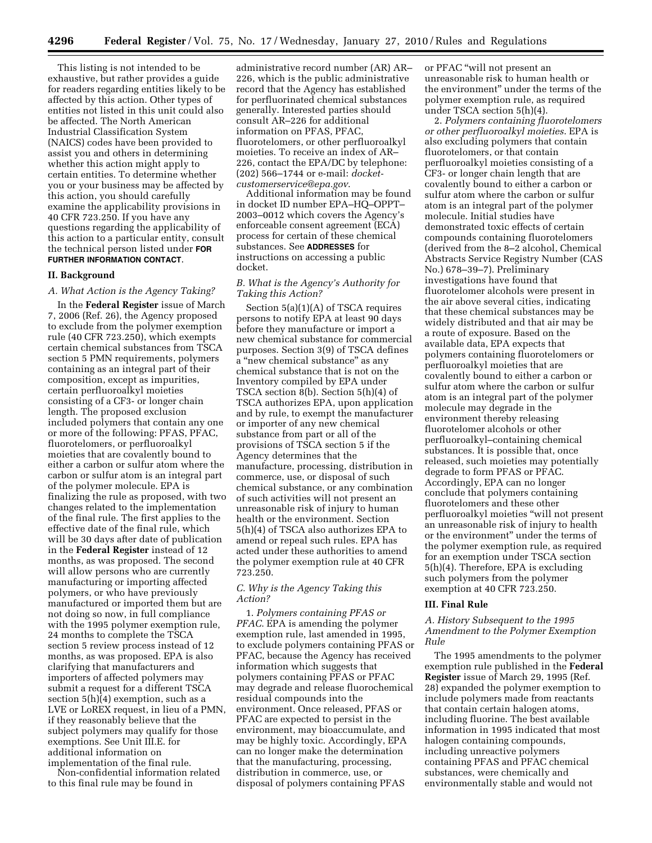This listing is not intended to be exhaustive, but rather provides a guide for readers regarding entities likely to be affected by this action. Other types of entities not listed in this unit could also be affected. The North American Industrial Classification System (NAICS) codes have been provided to assist you and others in determining whether this action might apply to certain entities. To determine whether you or your business may be affected by this action, you should carefully examine the applicability provisions in 40 CFR 723.250. If you have any questions regarding the applicability of this action to a particular entity, consult the technical person listed under **FOR FURTHER INFORMATION CONTACT**.

### **II. Background**

# *A. What Action is the Agency Taking?*

In the **Federal Register** issue of March 7, 2006 (Ref. 26), the Agency proposed to exclude from the polymer exemption rule (40 CFR 723.250), which exempts certain chemical substances from TSCA section 5 PMN requirements, polymers containing as an integral part of their composition, except as impurities, certain perfluoroalkyl moieties consisting of a CF3- or longer chain length. The proposed exclusion included polymers that contain any one or more of the following: PFAS, PFAC, fluorotelomers, or perfluoroalkyl moieties that are covalently bound to either a carbon or sulfur atom where the carbon or sulfur atom is an integral part of the polymer molecule. EPA is finalizing the rule as proposed, with two changes related to the implementation of the final rule. The first applies to the effective date of the final rule, which will be 30 days after date of publication in the **Federal Register** instead of 12 months, as was proposed. The second will allow persons who are currently manufacturing or importing affected polymers, or who have previously manufactured or imported them but are not doing so now, in full compliance with the 1995 polymer exemption rule, 24 months to complete the TSCA section 5 review process instead of 12 months, as was proposed. EPA is also clarifying that manufacturers and importers of affected polymers may submit a request for a different TSCA section 5(h)(4) exemption, such as a LVE or LoREX request, in lieu of a PMN, if they reasonably believe that the subject polymers may qualify for those exemptions. See Unit III.E. for additional information on implementation of the final rule.

Non-confidential information related to this final rule may be found in

administrative record number (AR) AR– 226, which is the public administrative record that the Agency has established for perfluorinated chemical substances generally. Interested parties should consult AR–226 for additional information on PFAS, PFAC, fluorotelomers, or other perfluoroalkyl moieties. To receive an index of AR– 226, contact the EPA/DC by telephone: (202) 566–1744 or e-mail: *docketcustomerservice@epa.gov*.

Additional information may be found in docket ID number EPA–HQ–OPPT– 2003–0012 which covers the Agency's enforceable consent agreement (ECA) process for certain of these chemical substances. See **ADDRESSES** for instructions on accessing a public docket.

# *B. What is the Agency's Authority for Taking this Action?*

Section 5(a)(1)(A) of TSCA requires persons to notify EPA at least 90 days before they manufacture or import a new chemical substance for commercial purposes. Section 3(9) of TSCA defines a ''new chemical substance'' as any chemical substance that is not on the Inventory compiled by EPA under TSCA section 8(b). Section 5(h)(4) of TSCA authorizes EPA, upon application and by rule, to exempt the manufacturer or importer of any new chemical substance from part or all of the provisions of TSCA section 5 if the Agency determines that the manufacture, processing, distribution in commerce, use, or disposal of such chemical substance, or any combination of such activities will not present an unreasonable risk of injury to human health or the environment. Section 5(h)(4) of TSCA also authorizes EPA to amend or repeal such rules. EPA has acted under these authorities to amend the polymer exemption rule at 40 CFR 723.250.

# *C. Why is the Agency Taking this Action?*

1. *Polymers containing PFAS or PFAC*. EPA is amending the polymer exemption rule, last amended in 1995, to exclude polymers containing PFAS or PFAC, because the Agency has received information which suggests that polymers containing PFAS or PFAC may degrade and release fluorochemical residual compounds into the environment. Once released, PFAS or PFAC are expected to persist in the environment, may bioaccumulate, and may be highly toxic. Accordingly, EPA can no longer make the determination that the manufacturing, processing, distribution in commerce, use, or disposal of polymers containing PFAS

or PFAC ''will not present an unreasonable risk to human health or the environment'' under the terms of the polymer exemption rule, as required under TSCA section 5(h)(4).

2. *Polymers containing fluorotelomers or other perfluoroalkyl moieties*. EPA is also excluding polymers that contain fluorotelomers, or that contain perfluoroalkyl moieties consisting of a CF3- or longer chain length that are covalently bound to either a carbon or sulfur atom where the carbon or sulfur atom is an integral part of the polymer molecule. Initial studies have demonstrated toxic effects of certain compounds containing fluorotelomers (derived from the 8–2 alcohol, Chemical Abstracts Service Registry Number (CAS No.) 678–39–7). Preliminary investigations have found that fluorotelomer alcohols were present in the air above several cities, indicating that these chemical substances may be widely distributed and that air may be a route of exposure. Based on the available data, EPA expects that polymers containing fluorotelomers or perfluoroalkyl moieties that are covalently bound to either a carbon or sulfur atom where the carbon or sulfur atom is an integral part of the polymer molecule may degrade in the environment thereby releasing fluorotelomer alcohols or other perfluoroalkyl–containing chemical substances. It is possible that, once released, such moieties may potentially degrade to form PFAS or PFAC. Accordingly, EPA can no longer conclude that polymers containing fluorotelomers and these other perfluoroalkyl moieties ''will not present an unreasonable risk of injury to health or the environment'' under the terms of the polymer exemption rule, as required for an exemption under TSCA section 5(h)(4). Therefore, EPA is excluding such polymers from the polymer exemption at 40 CFR 723.250.

### **III. Final Rule**

# *A. History Subsequent to the 1995 Amendment to the Polymer Exemption Rule*

The 1995 amendments to the polymer exemption rule published in the **Federal Register** issue of March 29, 1995 (Ref. 28) expanded the polymer exemption to include polymers made from reactants that contain certain halogen atoms, including fluorine. The best available information in 1995 indicated that most halogen containing compounds, including unreactive polymers containing PFAS and PFAC chemical substances, were chemically and environmentally stable and would not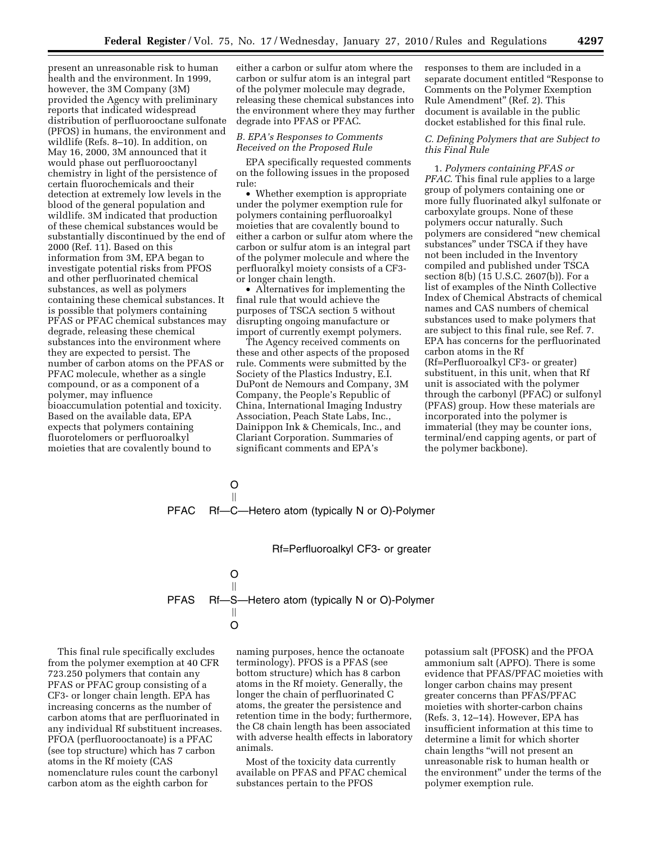present an unreasonable risk to human health and the environment. In 1999, however, the 3M Company (3M) provided the Agency with preliminary reports that indicated widespread distribution of perfluorooctane sulfonate (PFOS) in humans, the environment and wildlife (Refs. 8–10). In addition, on May 16, 2000, 3M announced that it would phase out perfluorooctanyl chemistry in light of the persistence of certain fluorochemicals and their detection at extremely low levels in the blood of the general population and wildlife. 3M indicated that production of these chemical substances would be substantially discontinued by the end of 2000 (Ref. 11). Based on this information from 3M, EPA began to investigate potential risks from PFOS and other perfluorinated chemical substances, as well as polymers containing these chemical substances. It is possible that polymers containing PFAS or PFAC chemical substances may degrade, releasing these chemical substances into the environment where they are expected to persist. The number of carbon atoms on the PFAS or PFAC molecule, whether as a single compound, or as a component of a polymer, may influence bioaccumulation potential and toxicity. Based on the available data, EPA expects that polymers containing fluorotelomers or perfluoroalkyl moieties that are covalently bound to

either a carbon or sulfur atom where the carbon or sulfur atom is an integral part of the polymer molecule may degrade, releasing these chemical substances into the environment where they may further degrade into PFAS or PFAC.

# *B. EPA's Responses to Comments Received on the Proposed Rule*

EPA specifically requested comments on the following issues in the proposed rule:

• Whether exemption is appropriate under the polymer exemption rule for polymers containing perfluoroalkyl moieties that are covalently bound to either a carbon or sulfur atom where the carbon or sulfur atom is an integral part of the polymer molecule and where the perfluoralkyl moiety consists of a CF3 or longer chain length.

• Alternatives for implementing the final rule that would achieve the purposes of TSCA section 5 without disrupting ongoing manufacture or import of currently exempt polymers.

The Agency received comments on these and other aspects of the proposed rule. Comments were submitted by the Society of the Plastics Industry, E.I. DuPont de Nemours and Company, 3M Company, the People's Republic of China, International Imaging Industry Association, Peach State Labs, Inc., Dainippon Ink & Chemicals, Inc., and Clariant Corporation. Summaries of significant comments and EPA's

responses to them are included in a separate document entitled "Response to Comments on the Polymer Exemption Rule Amendment'' (Ref. 2). This document is available in the public docket established for this final rule.

# *C. Defining Polymers that are Subject to this Final Rule*

1. *Polymers containing PFAS or PFAC*. This final rule applies to a large group of polymers containing one or more fully fluorinated alkyl sulfonate or carboxylate groups. None of these polymers occur naturally. Such polymers are considered ''new chemical substances'' under TSCA if they have not been included in the Inventory compiled and published under TSCA section 8(b) (15 U.S.C. 2607(b)). For a list of examples of the Ninth Collective Index of Chemical Abstracts of chemical names and CAS numbers of chemical substances used to make polymers that are subject to this final rule, see Ref. 7. EPA has concerns for the perfluorinated carbon atoms in the Rf (Rf=Perfluoroalkyl CF3- or greater) substituent, in this unit, when that Rf unit is associated with the polymer through the carbonyl (PFAC) or sulfonyl (PFAS) group. How these materials are incorporated into the polymer is immaterial (they may be counter ions, terminal/end capping agents, or part of the polymer backbone).

PFAC O Õ Rf—C—Hetero atom (typically N or O)-Polymer

Rf=Perfluoroalkyl CF3- or greater

PFAS O Õ Rf—S—Hetero atom (typically N or O)-Polymer Õ O

This final rule specifically excludes from the polymer exemption at 40 CFR 723.250 polymers that contain any PFAS or PFAC group consisting of a CF3- or longer chain length. EPA has increasing concerns as the number of carbon atoms that are perfluorinated in any individual Rf substituent increases. PFOA (perfluorooctanoate) is a PFAC (see top structure) which has 7 carbon atoms in the Rf moiety (CAS nomenclature rules count the carbonyl carbon atom as the eighth carbon for

naming purposes, hence the octanoate terminology). PFOS is a PFAS (see bottom structure) which has 8 carbon atoms in the Rf moiety. Generally, the longer the chain of perfluorinated C atoms, the greater the persistence and retention time in the body; furthermore, the C8 chain length has been associated with adverse health effects in laboratory animals.

Most of the toxicity data currently available on PFAS and PFAC chemical substances pertain to the PFOS

potassium salt (PFOSK) and the PFOA ammonium salt (APFO). There is some evidence that PFAS/PFAC moieties with longer carbon chains may present greater concerns than PFAS/PFAC moieties with shorter-carbon chains (Refs. 3, 12–14). However, EPA has insufficient information at this time to determine a limit for which shorter chain lengths ''will not present an unreasonable risk to human health or the environment'' under the terms of the polymer exemption rule.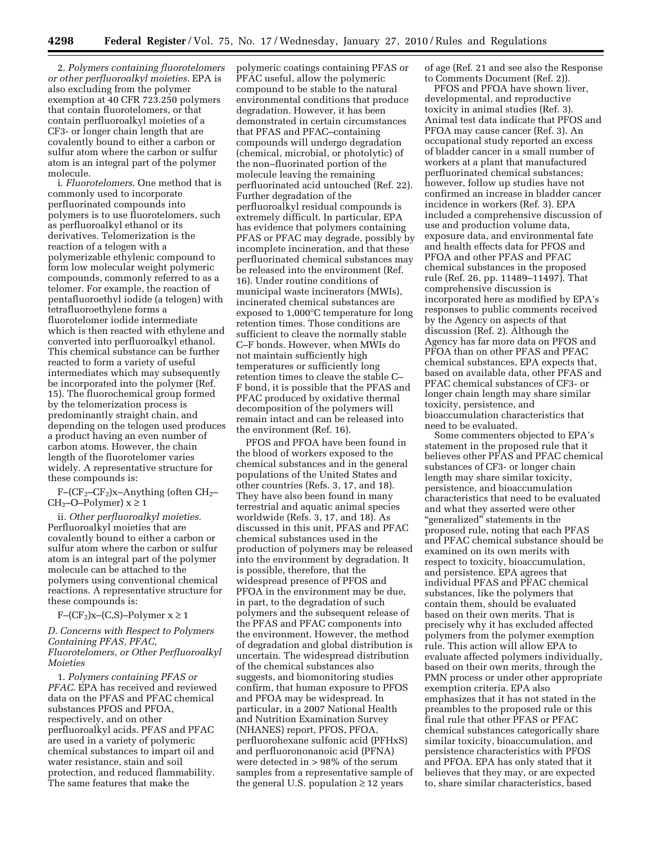2. *Polymers containing fluorotelomers or other perfluoroalkyl moieties*. EPA is also excluding from the polymer exemption at 40 CFR 723.250 polymers that contain fluorotelomers, or that contain perfluoroalkyl moieties of a CF3- or longer chain length that are covalently bound to either a carbon or sulfur atom where the carbon or sulfur atom is an integral part of the polymer molecule.

i. *Fluorotelomers*. One method that is commonly used to incorporate perfluorinated compounds into polymers is to use fluorotelomers, such as perfluoroalkyl ethanol or its derivatives. Telomerization is the reaction of a telogen with a polymerizable ethylenic compound to form low molecular weight polymeric compounds, commonly referred to as a telomer. For example, the reaction of pentafluoroethyl iodide (a telogen) with tetrafluoroethylene forms a fluorotelomer iodide intermediate which is then reacted with ethylene and converted into perfluoroalkyl ethanol. This chemical substance can be further reacted to form a variety of useful intermediates which may subsequently be incorporated into the polymer (Ref. 15). The fluorochemical group formed by the telomerization process is predominantly straight chain, and depending on the telogen used produces a product having an even number of carbon atoms. However, the chain length of the fluorotelomer varies widely. A representative structure for these compounds is:

 $F-(CF_2-CF_2)x$ -Anything (often  $CH_2$ -CH<sub>2</sub>–O–Polymer)  $x \ge 1$ 

ii. *Other perfluoroalkyl moieties*. Perfluoroalkyl moieties that are covalently bound to either a carbon or sulfur atom where the carbon or sulfur atom is an integral part of the polymer molecule can be attached to the polymers using conventional chemical reactions. A representative structure for these compounds is:

F–( $CF_2$ )x–(C,S)–Polymer  $x \ge 1$ 

*D. Concerns with Respect to Polymers Containing PFAS, PFAC, Fluorotelomers, or Other Perfluoroalkyl Moieties* 

1. *Polymers containing PFAS or PFAC*. EPA has received and reviewed data on the PFAS and PFAC chemical substances PFOS and PFOA, respectively, and on other perfluoroalkyl acids. PFAS and PFAC are used in a variety of polymeric chemical substances to impart oil and water resistance, stain and soil protection, and reduced flammability. The same features that make the

polymeric coatings containing PFAS or PFAC useful, allow the polymeric compound to be stable to the natural environmental conditions that produce degradation. However, it has been demonstrated in certain circumstances that PFAS and PFAC–containing compounds will undergo degradation (chemical, microbial, or photolytic) of the non–fluorinated portion of the molecule leaving the remaining perfluorinated acid untouched (Ref. 22). Further degradation of the perfluoroalkyl residual compounds is extremely difficult. In particular, EPA has evidence that polymers containing PFAS or PFAC may degrade, possibly by incomplete incineration, and that these perfluorinated chemical substances may be released into the environment (Ref. 16). Under routine conditions of municipal waste incinerators (MWIs), incinerated chemical substances are exposed to 1,000°C temperature for long retention times. Those conditions are sufficient to cleave the normally stable C–F bonds. However, when MWIs do not maintain sufficiently high temperatures or sufficiently long retention times to cleave the stable C– F bond, it is possible that the PFAS and PFAC produced by oxidative thermal decomposition of the polymers will remain intact and can be released into the environment (Ref. 16).

PFOS and PFOA have been found in the blood of workers exposed to the chemical substances and in the general populations of the United States and other countries (Refs. 3, 17, and 18). They have also been found in many terrestrial and aquatic animal species worldwide (Refs. 3, 17, and 18). As discussed in this unit, PFAS and PFAC chemical substances used in the production of polymers may be released into the environment by degradation. It is possible, therefore, that the widespread presence of PFOS and PFOA in the environment may be due, in part, to the degradation of such polymers and the subsequent release of the PFAS and PFAC components into the environment. However, the method of degradation and global distribution is uncertain. The widespread distribution of the chemical substances also suggests, and biomonitoring studies confirm, that human exposure to PFOS and PFOA may be widespread. In particular, in a 2007 National Health and Nutrition Examination Survey (NHANES) report, PFOS, PFOA, perfluorohexane sulfonic acid (PFHxS) and perfluorononanoic acid (PFNA) were detected in > 98% of the serum samples from a representative sample of the general U.S. population  $\geq 12$  years

of age (Ref. 21 and see also the Response to Comments Document (Ref. 2)).

PFOS and PFOA have shown liver, developmental, and reproductive toxicity in animal studies (Ref. 3). Animal test data indicate that PFOS and PFOA may cause cancer (Ref. 3). An occupational study reported an excess of bladder cancer in a small number of workers at a plant that manufactured perfluorinated chemical substances; however, follow up studies have not confirmed an increase in bladder cancer incidence in workers (Ref. 3). EPA included a comprehensive discussion of use and production volume data, exposure data, and environmental fate and health effects data for PFOS and PFOA and other PFAS and PFAC chemical substances in the proposed rule (Ref. 26, pp. 11489–11497). That comprehensive discussion is incorporated here as modified by EPA's responses to public comments received by the Agency on aspects of that discussion (Ref. 2). Although the Agency has far more data on PFOS and PFOA than on other PFAS and PFAC chemical substances, EPA expects that, based on available data, other PFAS and PFAC chemical substances of CF3- or longer chain length may share similar toxicity, persistence, and bioaccumulation characteristics that need to be evaluated.

Some commenters objected to EPA's statement in the proposed rule that it believes other PFAS and PFAC chemical substances of CF3- or longer chain length may share similar toxicity, persistence, and bioaccumulation characteristics that need to be evaluated and what they asserted were other "generalized" statements in the proposed rule, noting that each PFAS and PFAC chemical substance should be examined on its own merits with respect to toxicity, bioaccumulation, and persistence. EPA agrees that individual PFAS and PFAC chemical substances, like the polymers that contain them, should be evaluated based on their own merits. That is precisely why it has excluded affected polymers from the polymer exemption rule. This action will allow EPA to evaluate affected polymers individually, based on their own merits, through the PMN process or under other appropriate exemption criteria. EPA also emphasizes that it has not stated in the preambles to the proposed rule or this final rule that other PFAS or PFAC chemical substances categorically share similar toxicity, bioaccumulation, and persistence characteristics with PFOS and PFOA. EPA has only stated that it believes that they may, or are expected to, share similar characteristics, based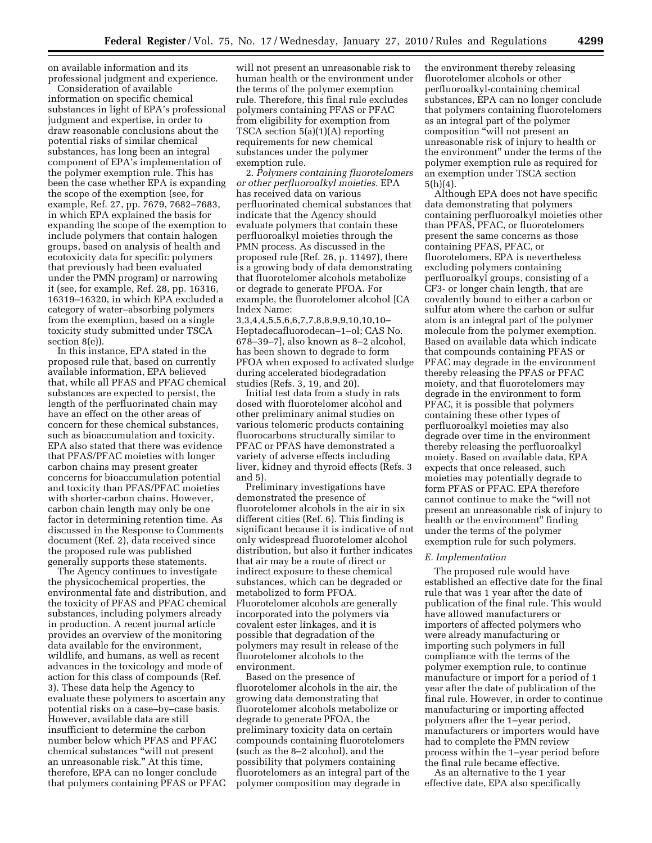on available information and its professional judgment and experience.

Consideration of available information on specific chemical substances in light of EPA's professional judgment and expertise, in order to draw reasonable conclusions about the potential risks of similar chemical substances, has long been an integral component of EPA's implementation of the polymer exemption rule. This has been the case whether EPA is expanding the scope of the exemption (see, for example, Ref. 27, pp. 7679, 7682–7683, in which EPA explained the basis for expanding the scope of the exemption to include polymers that contain halogen groups, based on analysis of health and ecotoxicity data for specific polymers that previously had been evaluated under the PMN program) or narrowing it (see, for example, Ref. 28, pp. 16316, 16319–16320, in which EPA excluded a category of water–absorbing polymers from the exemption, based on a single toxicity study submitted under TSCA section 8(e)).

In this instance, EPA stated in the proposed rule that, based on currently available information, EPA believed that, while all PFAS and PFAC chemical substances are expected to persist, the length of the perfluorinated chain may have an effect on the other areas of concern for these chemical substances, such as bioaccumulation and toxicity. EPA also stated that there was evidence that PFAS/PFAC moieties with longer carbon chains may present greater concerns for bioaccumulation potential and toxicity than PFAS/PFAC moieties with shorter-carbon chains. However, carbon chain length may only be one factor in determining retention time. As discussed in the Response to Comments document (Ref. 2), data received since the proposed rule was published generally supports these statements.

The Agency continues to investigate the physicochemical properties, the environmental fate and distribution, and the toxicity of PFAS and PFAC chemical substances, including polymers already in production. A recent journal article provides an overview of the monitoring data available for the environment, wildlife, and humans, as well as recent advances in the toxicology and mode of action for this class of compounds (Ref. 3). These data help the Agency to evaluate these polymers to ascertain any potential risks on a case–by–case basis. However, available data are still insufficient to determine the carbon number below which PFAS and PFAC chemical substances ''will not present an unreasonable risk." At this time, therefore, EPA can no longer conclude that polymers containing PFAS or PFAC

will not present an unreasonable risk to human health or the environment under the terms of the polymer exemption rule. Therefore, this final rule excludes polymers containing PFAS or PFAC from eligibility for exemption from TSCA section 5(a)(1)(A) reporting requirements for new chemical substances under the polymer exemption rule.

2. *Polymers containing fluorotelomers or other perfluoroalkyl moieties*. EPA has received data on various perfluorinated chemical substances that indicate that the Agency should evaluate polymers that contain these perfluoroalkyl moieties through the PMN process. As discussed in the proposed rule (Ref. 26, p. 11497), there is a growing body of data demonstrating that fluorotelomer alcohols metabolize or degrade to generate PFOA. For example, the fluorotelomer alcohol [CA Index Name:

3,3,4,4,5,5,6,6,7,7,8,8,9,9,10,10,10– Heptadecafluorodecan–1–ol; CAS No. 678–39–7], also known as 8–2 alcohol, has been shown to degrade to form PFOA when exposed to activated sludge during accelerated biodegradation studies (Refs. 3, 19, and 20).

Initial test data from a study in rats dosed with fluorotelomer alcohol and other preliminary animal studies on various telomeric products containing fluorocarbons structurally similar to PFAC or PFAS have demonstrated a variety of adverse effects including liver, kidney and thyroid effects (Refs. 3 and 5).

Preliminary investigations have demonstrated the presence of fluorotelomer alcohols in the air in six different cities (Ref. 6). This finding is significant because it is indicative of not only widespread fluorotelomer alcohol distribution, but also it further indicates that air may be a route of direct or indirect exposure to these chemical substances, which can be degraded or metabolized to form PFOA. Fluorotelomer alcohols are generally incorporated into the polymers via covalent ester linkages, and it is possible that degradation of the polymers may result in release of the fluorotelomer alcohols to the environment.

Based on the presence of fluorotelomer alcohols in the air, the growing data demonstrating that fluorotelomer alcohols metabolize or degrade to generate PFOA, the preliminary toxicity data on certain compounds containing fluorotelomers (such as the 8–2 alcohol), and the possibility that polymers containing fluorotelomers as an integral part of the polymer composition may degrade in

the environment thereby releasing fluorotelomer alcohols or other perfluoroalkyl-containing chemical substances, EPA can no longer conclude that polymers containing fluorotelomers as an integral part of the polymer composition ''will not present an unreasonable risk of injury to health or the environment'' under the terms of the polymer exemption rule as required for an exemption under TSCA section 5(h)(4).

Although EPA does not have specific data demonstrating that polymers containing perfluoroalkyl moieties other than PFAS, PFAC, or fluorotelomers present the same concerns as those containing PFAS, PFAC, or fluorotelomers, EPA is nevertheless excluding polymers containing perfluoroalkyl groups, consisting of a CF3- or longer chain length, that are covalently bound to either a carbon or sulfur atom where the carbon or sulfur atom is an integral part of the polymer molecule from the polymer exemption. Based on available data which indicate that compounds containing PFAS or PFAC may degrade in the environment thereby releasing the PFAS or PFAC moiety, and that fluorotelomers may degrade in the environment to form PFAC, it is possible that polymers containing these other types of perfluoroalkyl moieties may also degrade over time in the environment thereby releasing the perfluoroalkyl moiety. Based on available data, EPA expects that once released, such moieties may potentially degrade to form PFAS or PFAC. EPA therefore cannot continue to make the ''will not present an unreasonable risk of injury to health or the environment'' finding under the terms of the polymer exemption rule for such polymers.

#### *E. Implementation*

The proposed rule would have established an effective date for the final rule that was 1 year after the date of publication of the final rule. This would have allowed manufacturers or importers of affected polymers who were already manufacturing or importing such polymers in full compliance with the terms of the polymer exemption rule, to continue manufacture or import for a period of 1 year after the date of publication of the final rule. However, in order to continue manufacturing or importing affected polymers after the 1–year period, manufacturers or importers would have had to complete the PMN review process within the 1–year period before the final rule became effective.

As an alternative to the 1 year effective date, EPA also specifically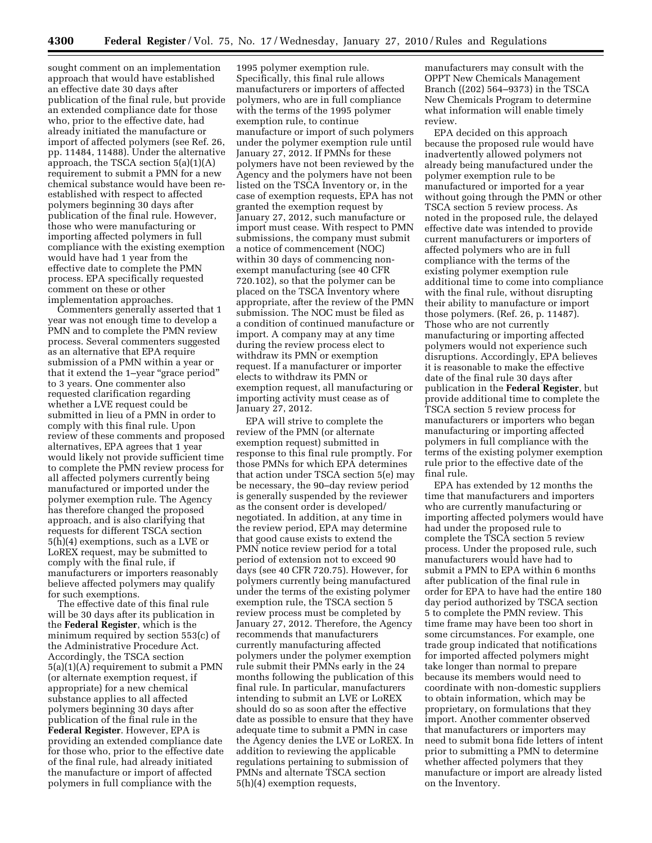sought comment on an implementation approach that would have established an effective date 30 days after publication of the final rule, but provide an extended compliance date for those who, prior to the effective date, had already initiated the manufacture or import of affected polymers (see Ref. 26, pp. 11484, 11488). Under the alternative approach, the TSCA section 5(a)(1)(A) requirement to submit a PMN for a new chemical substance would have been reestablished with respect to affected polymers beginning 30 days after publication of the final rule. However, those who were manufacturing or importing affected polymers in full compliance with the existing exemption would have had 1 year from the effective date to complete the PMN process. EPA specifically requested comment on these or other implementation approaches.

Commenters generally asserted that 1 year was not enough time to develop a PMN and to complete the PMN review process. Several commenters suggested as an alternative that EPA require submission of a PMN within a year or that it extend the 1–year "grace period" to 3 years. One commenter also requested clarification regarding whether a LVE request could be submitted in lieu of a PMN in order to comply with this final rule. Upon review of these comments and proposed alternatives, EPA agrees that 1 year would likely not provide sufficient time to complete the PMN review process for all affected polymers currently being manufactured or imported under the polymer exemption rule. The Agency has therefore changed the proposed approach, and is also clarifying that requests for different TSCA section 5(h)(4) exemptions, such as a LVE or LoREX request, may be submitted to comply with the final rule, if manufacturers or importers reasonably believe affected polymers may qualify for such exemptions.

The effective date of this final rule will be 30 days after its publication in the **Federal Register**, which is the minimum required by section 553(c) of the Administrative Procedure Act. Accordingly, the TSCA section 5(a)(1)(A) requirement to submit a PMN (or alternate exemption request, if appropriate) for a new chemical substance applies to all affected polymers beginning 30 days after publication of the final rule in the **Federal Register**. However, EPA is providing an extended compliance date for those who, prior to the effective date of the final rule, had already initiated the manufacture or import of affected polymers in full compliance with the

1995 polymer exemption rule. Specifically, this final rule allows manufacturers or importers of affected polymers, who are in full compliance with the terms of the 1995 polymer exemption rule, to continue manufacture or import of such polymers under the polymer exemption rule until January 27, 2012. If PMNs for these polymers have not been reviewed by the Agency and the polymers have not been listed on the TSCA Inventory or, in the case of exemption requests, EPA has not granted the exemption request by January 27, 2012, such manufacture or import must cease. With respect to PMN submissions, the company must submit a notice of commencement (NOC) within 30 days of commencing nonexempt manufacturing (see 40 CFR 720.102), so that the polymer can be placed on the TSCA Inventory where appropriate, after the review of the PMN submission. The NOC must be filed as a condition of continued manufacture or import. A company may at any time during the review process elect to withdraw its PMN or exemption request. If a manufacturer or importer elects to withdraw its PMN or exemption request, all manufacturing or importing activity must cease as of January 27, 2012.

EPA will strive to complete the review of the PMN (or alternate exemption request) submitted in response to this final rule promptly. For those PMNs for which EPA determines that action under TSCA section 5(e) may be necessary, the 90–day review period is generally suspended by the reviewer as the consent order is developed/ negotiated. In addition, at any time in the review period, EPA may determine that good cause exists to extend the PMN notice review period for a total period of extension not to exceed 90 days (see 40 CFR 720.75). However, for polymers currently being manufactured under the terms of the existing polymer exemption rule, the TSCA section 5 review process must be completed by January 27, 2012. Therefore, the Agency recommends that manufacturers currently manufacturing affected polymers under the polymer exemption rule submit their PMNs early in the 24 months following the publication of this final rule. In particular, manufacturers intending to submit an LVE or LoREX should do so as soon after the effective date as possible to ensure that they have adequate time to submit a PMN in case the Agency denies the LVE or LoREX. In addition to reviewing the applicable regulations pertaining to submission of PMNs and alternate TSCA section 5(h)(4) exemption requests,

manufacturers may consult with the OPPT New Chemicals Management Branch ((202) 564–9373) in the TSCA New Chemicals Program to determine what information will enable timely review.

EPA decided on this approach because the proposed rule would have inadvertently allowed polymers not already being manufactured under the polymer exemption rule to be manufactured or imported for a year without going through the PMN or other TSCA section 5 review process. As noted in the proposed rule, the delayed effective date was intended to provide current manufacturers or importers of affected polymers who are in full compliance with the terms of the existing polymer exemption rule additional time to come into compliance with the final rule, without disrupting their ability to manufacture or import those polymers. (Ref. 26, p. 11487). Those who are not currently manufacturing or importing affected polymers would not experience such disruptions. Accordingly, EPA believes it is reasonable to make the effective date of the final rule 30 days after publication in the **Federal Register**, but provide additional time to complete the TSCA section 5 review process for manufacturers or importers who began manufacturing or importing affected polymers in full compliance with the terms of the existing polymer exemption rule prior to the effective date of the final rule.

EPA has extended by 12 months the time that manufacturers and importers who are currently manufacturing or importing affected polymers would have had under the proposed rule to complete the TSCA section 5 review process. Under the proposed rule, such manufacturers would have had to submit a PMN to EPA within 6 months after publication of the final rule in order for EPA to have had the entire 180 day period authorized by TSCA section 5 to complete the PMN review. This time frame may have been too short in some circumstances. For example, one trade group indicated that notifications for imported affected polymers might take longer than normal to prepare because its members would need to coordinate with non-domestic suppliers to obtain information, which may be proprietary, on formulations that they import. Another commenter observed that manufacturers or importers may need to submit bona fide letters of intent prior to submitting a PMN to determine whether affected polymers that they manufacture or import are already listed on the Inventory.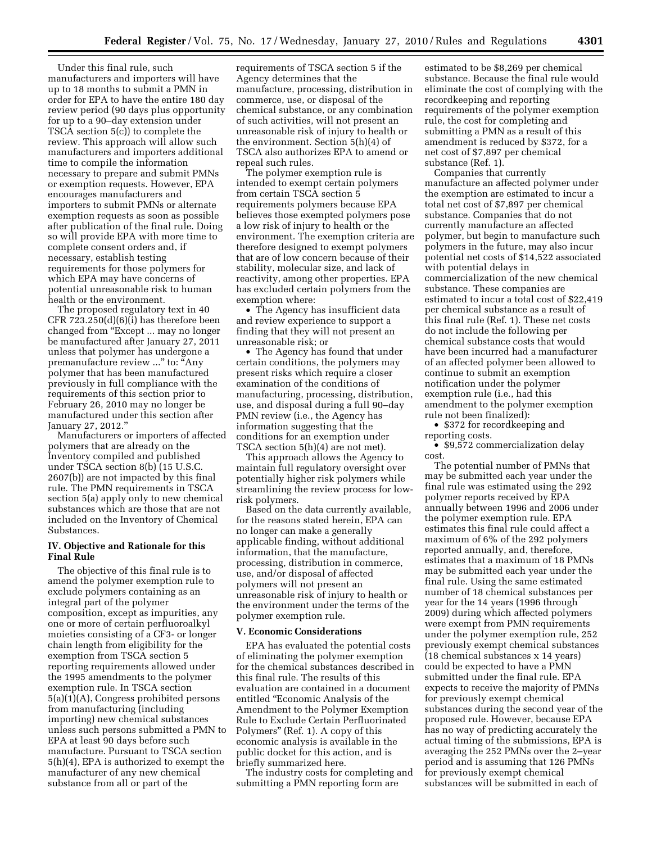Under this final rule, such manufacturers and importers will have up to 18 months to submit a PMN in order for EPA to have the entire 180 day review period (90 days plus opportunity for up to a 90–day extension under TSCA section 5(c)) to complete the review. This approach will allow such manufacturers and importers additional time to compile the information necessary to prepare and submit PMNs or exemption requests. However, EPA encourages manufacturers and importers to submit PMNs or alternate exemption requests as soon as possible after publication of the final rule. Doing so will provide EPA with more time to complete consent orders and, if necessary, establish testing requirements for those polymers for which EPA may have concerns of potential unreasonable risk to human health or the environment.

The proposed regulatory text in 40 CFR 723.250(d)(6)(i) has therefore been changed from ''Except ... may no longer be manufactured after January 27, 2011 unless that polymer has undergone a premanufacture review ..." to: "Any polymer that has been manufactured previously in full compliance with the requirements of this section prior to February 26, 2010 may no longer be manufactured under this section after January 27, 2012.''

Manufacturers or importers of affected polymers that are already on the Inventory compiled and published under TSCA section 8(b) (15 U.S.C. 2607(b)) are not impacted by this final rule. The PMN requirements in TSCA section 5(a) apply only to new chemical substances which are those that are not included on the Inventory of Chemical Substances.

# **IV. Objective and Rationale for this Final Rule**

The objective of this final rule is to amend the polymer exemption rule to exclude polymers containing as an integral part of the polymer composition, except as impurities, any one or more of certain perfluoroalkyl moieties consisting of a CF3- or longer chain length from eligibility for the exemption from TSCA section 5 reporting requirements allowed under the 1995 amendments to the polymer exemption rule. In TSCA section 5(a)(1)(A), Congress prohibited persons from manufacturing (including importing) new chemical substances unless such persons submitted a PMN to EPA at least 90 days before such manufacture. Pursuant to TSCA section 5(h)(4), EPA is authorized to exempt the manufacturer of any new chemical substance from all or part of the

requirements of TSCA section 5 if the Agency determines that the manufacture, processing, distribution in commerce, use, or disposal of the chemical substance, or any combination of such activities, will not present an unreasonable risk of injury to health or the environment. Section 5(h)(4) of TSCA also authorizes EPA to amend or repeal such rules.

The polymer exemption rule is intended to exempt certain polymers from certain TSCA section 5 requirements polymers because EPA believes those exempted polymers pose a low risk of injury to health or the environment. The exemption criteria are therefore designed to exempt polymers that are of low concern because of their stability, molecular size, and lack of reactivity, among other properties. EPA has excluded certain polymers from the exemption where:

• The Agency has insufficient data and review experience to support a finding that they will not present an unreasonable risk; or

• The Agency has found that under certain conditions, the polymers may present risks which require a closer examination of the conditions of manufacturing, processing, distribution, use, and disposal during a full 90–day PMN review (i.e., the Agency has information suggesting that the conditions for an exemption under TSCA section 5(h)(4) are not met).

This approach allows the Agency to maintain full regulatory oversight over potentially higher risk polymers while streamlining the review process for lowrisk polymers.

Based on the data currently available, for the reasons stated herein, EPA can no longer can make a generally applicable finding, without additional information, that the manufacture, processing, distribution in commerce, use, and/or disposal of affected polymers will not present an unreasonable risk of injury to health or the environment under the terms of the polymer exemption rule.

### **V. Economic Considerations**

EPA has evaluated the potential costs of eliminating the polymer exemption for the chemical substances described in this final rule. The results of this evaluation are contained in a document entitled ''Economic Analysis of the Amendment to the Polymer Exemption Rule to Exclude Certain Perfluorinated Polymers'' (Ref. 1). A copy of this economic analysis is available in the public docket for this action, and is briefly summarized here.

The industry costs for completing and submitting a PMN reporting form are

estimated to be \$8,269 per chemical substance. Because the final rule would eliminate the cost of complying with the recordkeeping and reporting requirements of the polymer exemption rule, the cost for completing and submitting a PMN as a result of this amendment is reduced by \$372, for a net cost of \$7,897 per chemical substance (Ref. 1).

Companies that currently manufacture an affected polymer under the exemption are estimated to incur a total net cost of \$7,897 per chemical substance. Companies that do not currently manufacture an affected polymer, but begin to manufacture such polymers in the future, may also incur potential net costs of \$14,522 associated with potential delays in commercialization of the new chemical substance. These companies are estimated to incur a total cost of \$22,419 per chemical substance as a result of this final rule (Ref. 1). These net costs do not include the following per chemical substance costs that would have been incurred had a manufacturer of an affected polymer been allowed to continue to submit an exemption notification under the polymer exemption rule (i.e., had this amendment to the polymer exemption rule not been finalized):

• \$372 for recordkeeping and reporting costs.

• \$9,572 commercialization delay cost.

The potential number of PMNs that may be submitted each year under the final rule was estimated using the 292 polymer reports received by EPA annually between 1996 and 2006 under the polymer exemption rule. EPA estimates this final rule could affect a maximum of 6% of the 292 polymers reported annually, and, therefore, estimates that a maximum of 18 PMNs may be submitted each year under the final rule. Using the same estimated number of 18 chemical substances per year for the 14 years (1996 through 2009) during which affected polymers were exempt from PMN requirements under the polymer exemption rule, 252 previously exempt chemical substances (18 chemical substances x 14 years) could be expected to have a PMN submitted under the final rule. EPA expects to receive the majority of PMNs for previously exempt chemical substances during the second year of the proposed rule. However, because EPA has no way of predicting accurately the actual timing of the submissions, EPA is averaging the 252 PMNs over the 2–year period and is assuming that 126 PMNs for previously exempt chemical substances will be submitted in each of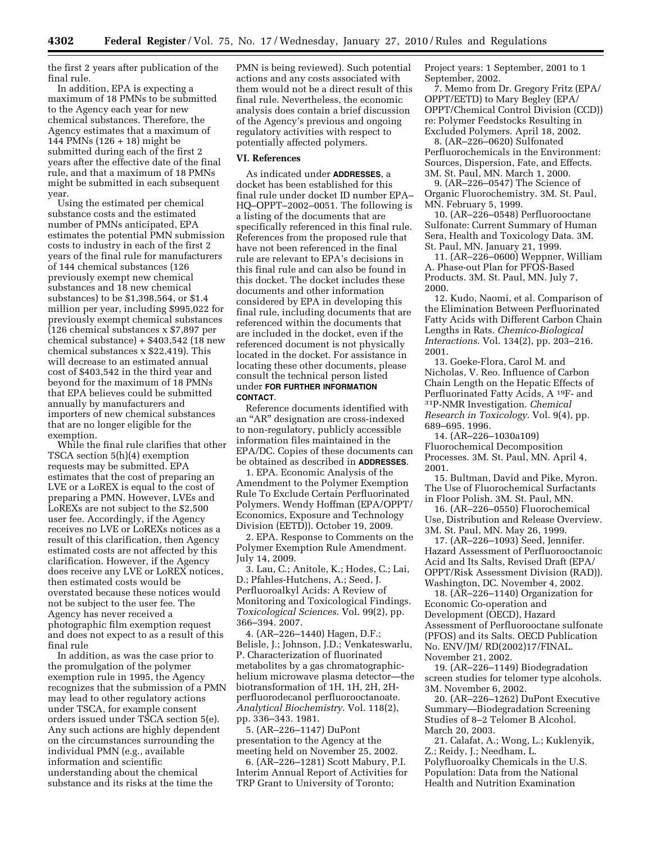the first 2 years after publication of the final rule.

In addition, EPA is expecting a maximum of 18 PMNs to be submitted to the Agency each year for new chemical substances. Therefore, the Agency estimates that a maximum of 144 PMNs (126 + 18) might be submitted during each of the first 2 years after the effective date of the final rule, and that a maximum of 18 PMNs might be submitted in each subsequent year.

Using the estimated per chemical substance costs and the estimated number of PMNs anticipated, EPA estimates the potential PMN submission costs to industry in each of the first 2 years of the final rule for manufacturers of 144 chemical substances (126 previously exempt new chemical substances and 18 new chemical substances) to be \$1,398,564, or \$1.4 million per year, including \$995,022 for previously exempt chemical substances (126 chemical substances x \$7,897 per chemical substance) + \$403,542 (18 new chemical substances x \$22,419). This will decrease to an estimated annual cost of \$403,542 in the third year and beyond for the maximum of 18 PMNs that EPA believes could be submitted annually by manufacturers and importers of new chemical substances that are no longer eligible for the exemption.

While the final rule clarifies that other TSCA section 5(h)(4) exemption requests may be submitted. EPA estimates that the cost of preparing an LVE or a LoREX is equal to the cost of preparing a PMN. However, LVEs and LoREXs are not subject to the \$2,500 user fee. Accordingly, if the Agency receives no LVE or LoREXs notices as a result of this clarification, then Agency estimated costs are not affected by this clarification. However, if the Agency does receive any LVE or LoREX notices, then estimated costs would be overstated because these notices would not be subject to the user fee. The Agency has never received a photographic film exemption request and does not expect to as a result of this final rule

In addition, as was the case prior to the promulgation of the polymer exemption rule in 1995, the Agency recognizes that the submission of a PMN may lead to other regulatory actions under TSCA, for example consent orders issued under TSCA section 5(e). Any such actions are highly dependent on the circumstances surrounding the individual PMN (e.g., available information and scientific understanding about the chemical substance and its risks at the time the

PMN is being reviewed). Such potential actions and any costs associated with them would not be a direct result of this final rule. Nevertheless, the economic analysis does contain a brief discussion of the Agency's previous and ongoing regulatory activities with respect to potentially affected polymers.

#### **VI. References**

As indicated under **ADDRESSES**, a docket has been established for this final rule under docket ID number EPA– HQ–OPPT–2002–0051. The following is a listing of the documents that are specifically referenced in this final rule. References from the proposed rule that have not been referenced in the final rule are relevant to EPA's decisions in this final rule and can also be found in this docket. The docket includes these documents and other information considered by EPA in developing this final rule, including documents that are referenced within the documents that are included in the docket, even if the referenced document is not physically located in the docket. For assistance in locating these other documents, please consult the technical person listed under **FOR FURTHER INFORMATION CONTACT**.

Reference documents identified with an ''AR'' designation are cross-indexed to non-regulatory, publicly accessible information files maintained in the EPA/DC. Copies of these documents can be obtained as described in **ADDRESSES**.

1. EPA. Economic Analysis of the Amendment to the Polymer Exemption Rule To Exclude Certain Perfluorinated Polymers. Wendy Hoffman (EPA/OPPT/ Economics, Exposure and Technology Division (EETD)). October 19, 2009.

2. EPA. Response to Comments on the Polymer Exemption Rule Amendment. July 14, 2009.

3. Lau, C.; Anitole, K.; Hodes, C.; Lai, D.; Pfahles-Hutchens, A.; Seed, J. Perfluoroalkyl Acids: A Review of Monitoring and Toxicological Findings. *Toxicological Sciences*. Vol. 99(2), pp. 366–394. 2007.

4. (AR–226–1440) Hagen, D.F.; Belisle, J.; Johnson, J.D.; Venkateswarlu, P. Characterization of fluorinated metabolites by a gas chromatographichelium microwave plasma detector—the biotransformation of 1H, 1H, 2H, 2Hperfluorodecanol perfluorooctanoate. *Analytical Biochemistry*. Vol. 118(2), pp. 336–343. 1981.

5. (AR–226–1147) DuPont presentation to the Agency at the meeting held on November 25, 2002.

6. (AR–226–1281) Scott Mabury, P.I. Interim Annual Report of Activities for TRP Grant to University of Toronto;

Project years: 1 September, 2001 to 1 September, 2002.

7. Memo from Dr. Gregory Fritz (EPA/ OPPT/EETD) to Mary Begley (EPA/ OPPT/Chemical Control Division (CCD)) re: Polymer Feedstocks Resulting in Excluded Polymers. April 18, 2002.

8. (AR–226–0620) Sulfonated Perfluorochemicals in the Environment: Sources, Dispersion, Fate, and Effects. 3M. St. Paul, MN. March 1, 2000.

9. (AR–226–0547) The Science of Organic Fluorochemistry. 3M. St. Paul, MN. February 5, 1999.

10. (AR–226–0548) Perfluorooctane Sulfonate: Current Summary of Human Sera, Health and Toxicology Data. 3M. St. Paul, MN. January 21, 1999.

11. (AR–226–0600) Weppner, William A. Phase-out Plan for PFOS-Based Products. 3M. St. Paul, MN. July 7, 2000.

12. Kudo, Naomi, et al. Comparison of the Elimination Between Perfluorinated Fatty Acids with Different Carbon Chain Lengths in Rats. *Chemico-Biological Interactions*. Vol. 134(2), pp. 203–216. 2001.

13. Goeke-Flora, Carol M. and Nicholas, V. Reo. Influence of Carbon Chain Length on the Hepatic Effects of Perfluorinated Fatty Acids, A 19F- and 31P-NMR Investigation. *Chemical Research in Toxicology*. Vol. 9(4), pp. 689–695. 1996.

14. (AR–226–1030a109) Fluorochemical Decomposition Processes. 3M. St. Paul, MN. April 4, 2001.

15. Bultman, David and Pike, Myron. The Use of Fluorochemical Surfactants in Floor Polish. 3M. St. Paul, MN.

16. (AR–226–0550) Fluorochemical Use, Distribution and Release Overview. 3M. St. Paul, MN. May 26, 1999.

17. (AR–226–1093) Seed, Jennifer. Hazard Assessment of Perfluorooctanoic Acid and Its Salts, Revised Draft (EPA/ OPPT/Risk Assessment Division (RAD)). Washington, DC. November 4, 2002.

18. (AR–226–1140) Organization for Economic Co-operation and Development (OECD), Hazard Assessment of Perfluorooctane sulfonate (PFOS) and its Salts. OECD Publication No. ENV/JM/ RD(2002)17/FINAL. November 21, 2002.

19. (AR–226–1149) Biodegradation screen studies for telomer type alcohols. 3M. November 6, 2002.

20. (AR–226–1262) DuPont Executive Summary—Biodegradation Screening Studies of 8–2 Telomer B Alcohol. March 20, 2003.

21. Calafat, A.; Wong, L.; Kuklenyik, Z.; Reidy, J.; Needham, L. Polyfluoroalky Chemicals in the U.S. Population: Data from the National Health and Nutrition Examination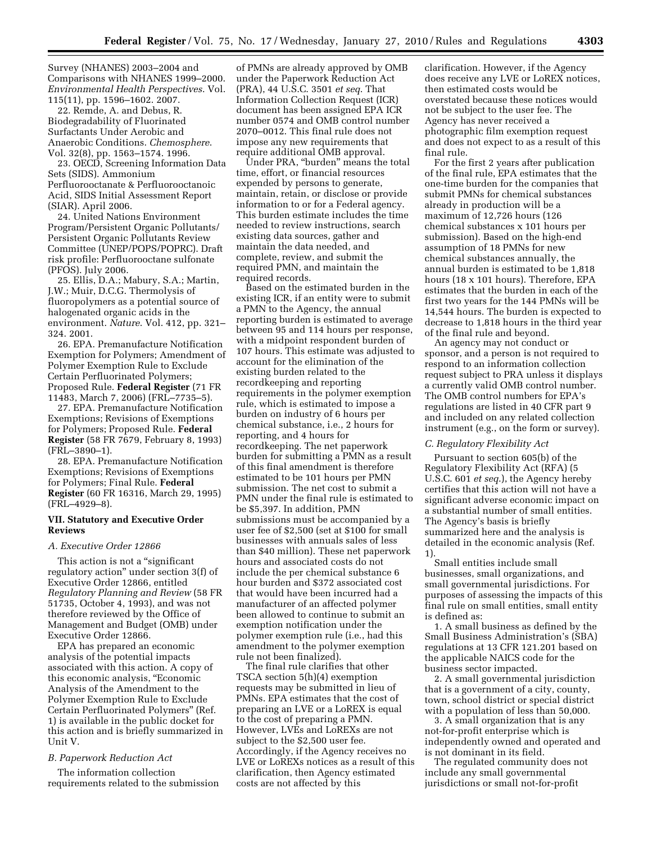Survey (NHANES) 2003–2004 and Comparisons with NHANES 1999–2000. *Environmental Health Perspectives*. Vol. 115(11), pp. 1596–1602. 2007.

22. Remde, A. and Debus, R. Biodegradability of Fluorinated Surfactants Under Aerobic and Anaerobic Conditions. *Chemosphere*. Vol. 32(8), pp. 1563–1574. 1996.

23. OECD, Screening Information Data Sets (SIDS). Ammonium Perfluorooctanate & Perfluorooctanoic Acid, SIDS Initial Assessment Report (SIAR). April 2006.

24. United Nations Environment Program/Persistent Organic Pollutants/ Persistent Organic Pollutants Review Committee (UNEP/POPS/POPRC). Draft risk profile: Perfluorooctane sulfonate (PFOS). July 2006.

25. Ellis, D.A.; Mabury, S.A.; Martin, J.W.; Muir, D.C.G. Thermolysis of fluoropolymers as a potential source of halogenated organic acids in the environment. *Nature*. Vol. 412, pp. 321– 324. 2001.

26. EPA. Premanufacture Notification Exemption for Polymers; Amendment of Polymer Exemption Rule to Exclude Certain Perfluorinated Polymers; Proposed Rule. **Federal Register** (71 FR 11483, March 7, 2006) (FRL–7735–5).

27. EPA. Premanufacture Notification Exemptions; Revisions of Exemptions for Polymers; Proposed Rule. **Federal Register** (58 FR 7679, February 8, 1993) (FRL–3890–1).

28. EPA. Premanufacture Notification Exemptions; Revisions of Exemptions for Polymers; Final Rule. **Federal Register** (60 FR 16316, March 29, 1995) (FRL–4929–8).

# **VII. Statutory and Executive Order Reviews**

# *A. Executive Order 12866*

This action is not a "significant regulatory action'' under section 3(f) of Executive Order 12866, entitled *Regulatory Planning and Review* (58 FR 51735, October 4, 1993), and was not therefore reviewed by the Office of Management and Budget (OMB) under Executive Order 12866.

EPA has prepared an economic analysis of the potential impacts associated with this action. A copy of this economic analysis, ''Economic Analysis of the Amendment to the Polymer Exemption Rule to Exclude Certain Perfluorinated Polymers'' (Ref. 1) is available in the public docket for this action and is briefly summarized in Unit V.

#### *B. Paperwork Reduction Act*

The information collection requirements related to the submission

of PMNs are already approved by OMB under the Paperwork Reduction Act (PRA), 44 U.S.C. 3501 *et seq*. That Information Collection Request (ICR) document has been assigned EPA ICR number 0574 and OMB control number 2070–0012. This final rule does not impose any new requirements that require additional OMB approval.

Under PRA, ''burden'' means the total time, effort, or financial resources expended by persons to generate, maintain, retain, or disclose or provide information to or for a Federal agency. This burden estimate includes the time needed to review instructions, search existing data sources, gather and maintain the data needed, and complete, review, and submit the required PMN, and maintain the required records.

Based on the estimated burden in the existing ICR, if an entity were to submit a PMN to the Agency, the annual reporting burden is estimated to average between 95 and 114 hours per response, with a midpoint respondent burden of 107 hours. This estimate was adjusted to account for the elimination of the existing burden related to the recordkeeping and reporting requirements in the polymer exemption rule, which is estimated to impose a burden on industry of 6 hours per chemical substance, i.e., 2 hours for reporting, and 4 hours for recordkeeping. The net paperwork burden for submitting a PMN as a result of this final amendment is therefore estimated to be 101 hours per PMN submission. The net cost to submit a PMN under the final rule is estimated to be \$5,397. In addition, PMN submissions must be accompanied by a user fee of \$2,500 (set at \$100 for small businesses with annuals sales of less than \$40 million). These net paperwork hours and associated costs do not include the per chemical substance 6 hour burden and \$372 associated cost that would have been incurred had a manufacturer of an affected polymer been allowed to continue to submit an exemption notification under the polymer exemption rule (i.e., had this amendment to the polymer exemption rule not been finalized).

The final rule clarifies that other TSCA section 5(h)(4) exemption requests may be submitted in lieu of PMNs. EPA estimates that the cost of preparing an LVE or a LoREX is equal to the cost of preparing a PMN. However, LVEs and LoREXs are not subject to the \$2,500 user fee. Accordingly, if the Agency receives no LVE or LoREXs notices as a result of this clarification, then Agency estimated costs are not affected by this

clarification. However, if the Agency does receive any LVE or LoREX notices, then estimated costs would be overstated because these notices would not be subject to the user fee. The Agency has never received a photographic film exemption request and does not expect to as a result of this final rule.

For the first 2 years after publication of the final rule, EPA estimates that the one-time burden for the companies that submit PMNs for chemical substances already in production will be a maximum of 12,726 hours (126 chemical substances x 101 hours per submission). Based on the high-end assumption of 18 PMNs for new chemical substances annually, the annual burden is estimated to be 1,818 hours (18 x 101 hours). Therefore, EPA estimates that the burden in each of the first two years for the 144 PMNs will be 14,544 hours. The burden is expected to decrease to 1,818 hours in the third year of the final rule and beyond.

An agency may not conduct or sponsor, and a person is not required to respond to an information collection request subject to PRA unless it displays a currently valid OMB control number. The OMB control numbers for EPA's regulations are listed in 40 CFR part 9 and included on any related collection instrument (e.g., on the form or survey).

## *C. Regulatory Flexibility Act*

Pursuant to section 605(b) of the Regulatory Flexibility Act (RFA) (5 U.S.C. 601 *et seq*.), the Agency hereby certifies that this action will not have a significant adverse economic impact on a substantial number of small entities. The Agency's basis is briefly summarized here and the analysis is detailed in the economic analysis (Ref. 1).

Small entities include small businesses, small organizations, and small governmental jurisdictions. For purposes of assessing the impacts of this final rule on small entities, small entity is defined as:

1. A small business as defined by the Small Business Administration's (SBA) regulations at 13 CFR 121.201 based on the applicable NAICS code for the business sector impacted.

2. A small governmental jurisdiction that is a government of a city, county, town, school district or special district with a population of less than 50,000.

3. A small organization that is any not-for-profit enterprise which is independently owned and operated and is not dominant in its field.

The regulated community does not include any small governmental jurisdictions or small not-for-profit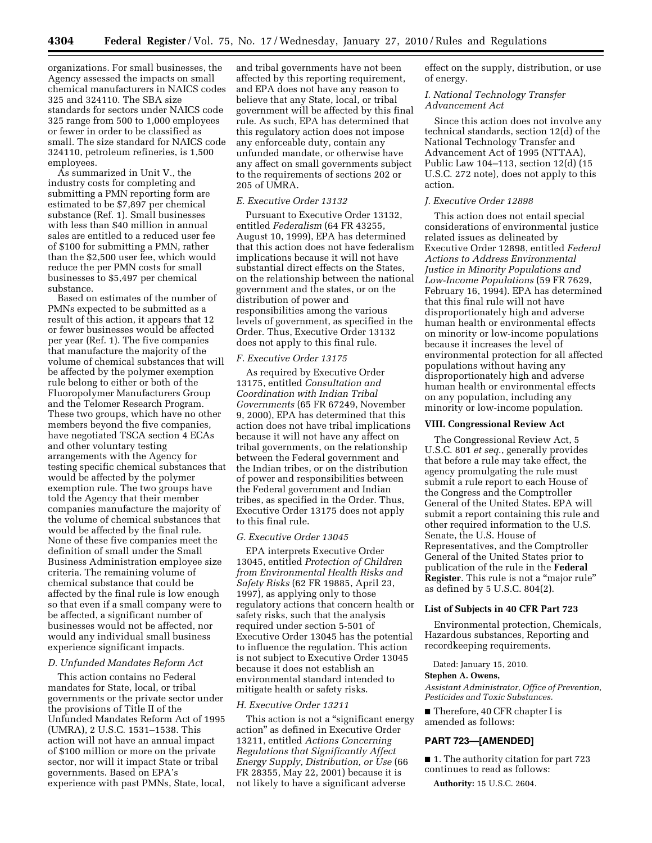organizations. For small businesses, the Agency assessed the impacts on small chemical manufacturers in NAICS codes 325 and 324110. The SBA size standards for sectors under NAICS code 325 range from 500 to 1,000 employees or fewer in order to be classified as small. The size standard for NAICS code 324110, petroleum refineries, is 1,500 employees.

As summarized in Unit V., the industry costs for completing and submitting a PMN reporting form are estimated to be \$7,897 per chemical substance (Ref. 1). Small businesses with less than \$40 million in annual sales are entitled to a reduced user fee of \$100 for submitting a PMN, rather than the \$2,500 user fee, which would reduce the per PMN costs for small businesses to \$5,497 per chemical substance.

Based on estimates of the number of PMNs expected to be submitted as a result of this action, it appears that 12 or fewer businesses would be affected per year (Ref. 1). The five companies that manufacture the majority of the volume of chemical substances that will be affected by the polymer exemption rule belong to either or both of the Fluoropolymer Manufacturers Group and the Telomer Research Program. These two groups, which have no other members beyond the five companies, have negotiated TSCA section 4 ECAs and other voluntary testing arrangements with the Agency for testing specific chemical substances that would be affected by the polymer exemption rule. The two groups have told the Agency that their member companies manufacture the majority of the volume of chemical substances that would be affected by the final rule. None of these five companies meet the definition of small under the Small Business Administration employee size criteria. The remaining volume of chemical substance that could be affected by the final rule is low enough so that even if a small company were to be affected, a significant number of businesses would not be affected, nor would any individual small business experience significant impacts.

## *D. Unfunded Mandates Reform Act*

This action contains no Federal mandates for State, local, or tribal governments or the private sector under the provisions of Title II of the Unfunded Mandates Reform Act of 1995 (UMRA), 2 U.S.C. 1531–1538. This action will not have an annual impact of \$100 million or more on the private sector, nor will it impact State or tribal governments. Based on EPA's experience with past PMNs, State, local,

and tribal governments have not been affected by this reporting requirement, and EPA does not have any reason to believe that any State, local, or tribal government will be affected by this final rule. As such, EPA has determined that this regulatory action does not impose any enforceable duty, contain any unfunded mandate, or otherwise have any affect on small governments subject to the requirements of sections 202 or 205 of UMRA.

### *E. Executive Order 13132*

Pursuant to Executive Order 13132, entitled *Federalism* (64 FR 43255, August 10, 1999), EPA has determined that this action does not have federalism implications because it will not have substantial direct effects on the States, on the relationship between the national government and the states, or on the distribution of power and responsibilities among the various levels of government, as specified in the Order. Thus, Executive Order 13132 does not apply to this final rule.

### *F. Executive Order 13175*

As required by Executive Order 13175, entitled *Consultation and Coordination with Indian Tribal Governments* (65 FR 67249, November 9, 2000), EPA has determined that this action does not have tribal implications because it will not have any affect on tribal governments, on the relationship between the Federal government and the Indian tribes, or on the distribution of power and responsibilities between the Federal government and Indian tribes, as specified in the Order. Thus, Executive Order 13175 does not apply to this final rule.

# *G. Executive Order 13045*

EPA interprets Executive Order 13045, entitled *Protection of Children from Environmental Health Risks and Safety Risks* (62 FR 19885, April 23, 1997), as applying only to those regulatory actions that concern health or safety risks, such that the analysis required under section 5-501 of Executive Order 13045 has the potential to influence the regulation. This action is not subject to Executive Order 13045 because it does not establish an environmental standard intended to mitigate health or safety risks.

# *H. Executive Order 13211*

This action is not a "significant energy action'' as defined in Executive Order 13211, entitled *Actions Concerning Regulations that Significantly Affect Energy Supply, Distribution, or Use* (66 FR 28355, May 22, 2001) because it is not likely to have a significant adverse

effect on the supply, distribution, or use of energy.

# *I. National Technology Transfer Advancement Act*

Since this action does not involve any technical standards, section 12(d) of the National Technology Transfer and Advancement Act of 1995 (NTTAA), Public Law 104–113, section 12(d) (15 U.S.C. 272 note), does not apply to this action.

#### *J. Executive Order 12898*

This action does not entail special considerations of environmental justice related issues as delineated by Executive Order 12898, entitled *Federal Actions to Address Environmental Justice in Minority Populations and Low-Income Populations* (59 FR 7629, February 16, 1994). EPA has determined that this final rule will not have disproportionately high and adverse human health or environmental effects on minority or low-income populations because it increases the level of environmental protection for all affected populations without having any disproportionately high and adverse human health or environmental effects on any population, including any minority or low-income population.

## **VIII. Congressional Review Act**

The Congressional Review Act, 5 U.S.C. 801 *et seq*., generally provides that before a rule may take effect, the agency promulgating the rule must submit a rule report to each House of the Congress and the Comptroller General of the United States. EPA will submit a report containing this rule and other required information to the U.S. Senate, the U.S. House of Representatives, and the Comptroller General of the United States prior to publication of the rule in the **Federal Register**. This rule is not a ''major rule'' as defined by 5 U.S.C. 804(2).

### **List of Subjects in 40 CFR Part 723**

Environmental protection, Chemicals, Hazardous substances, Reporting and recordkeeping requirements.

#### Dated: January 15, 2010.

### **Stephen A. Owens,**

*Assistant Administrator, Office of Prevention, Pesticides and Toxic Substances.* 

■ Therefore, 40 CFR chapter I is amended as follows:

## **PART 723—[AMENDED]**

■ 1. The authority citation for part 723 continues to read as follows:

**Authority:** 15 U.S.C. 2604.